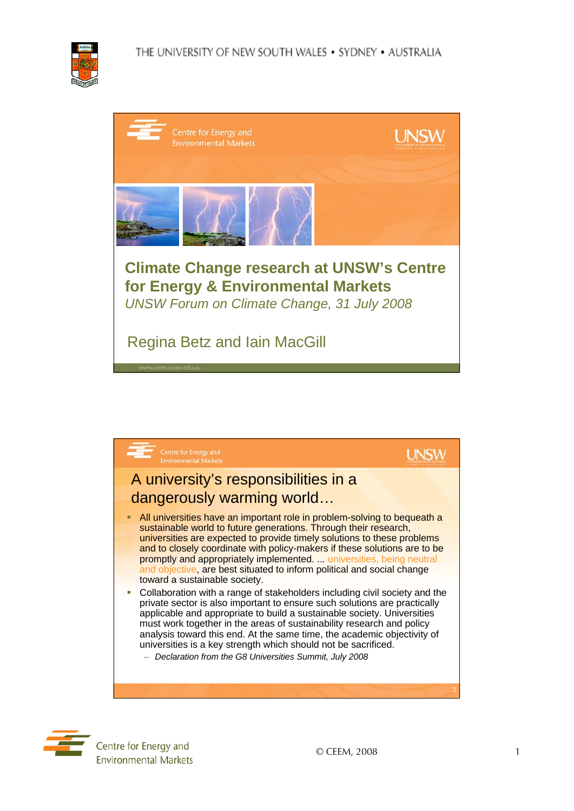

| Centre for Energy and<br><b>Environmental Markets</b>                                                                                      | <b>UNSI</b> |  |
|--------------------------------------------------------------------------------------------------------------------------------------------|-------------|--|
|                                                                                                                                            |             |  |
| <b>Climate Change research at UNSW's Centre</b><br>for Energy & Environmental Markets<br><b>UNSW Forum on Climate Change, 31 July 2008</b> |             |  |
| <b>Regina Betz and lain MacGill</b><br>www.ceem.unsw.edu.au                                                                                |             |  |



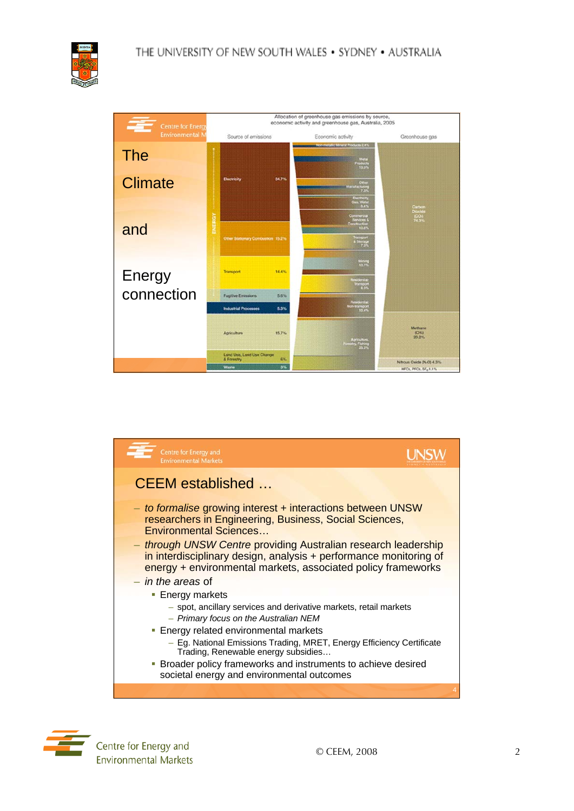

| ♦<br><b>Centre for Energy</b> | Allocation of greenhouse gas emissions by source,<br>economic activity and greenhouse gas, Australia, 2005 |                                                                  |                                        |
|-------------------------------|------------------------------------------------------------------------------------------------------------|------------------------------------------------------------------|----------------------------------------|
| <b>Environmental N</b>        | Source of emissions                                                                                        | Economic activity                                                | Greenhouse gas                         |
| <b>The</b>                    |                                                                                                            | Non-metallic Mineral Products 2.4%<br>Metal<br>Products<br>13.3% |                                        |
| <b>Climate</b>                | 34.7%<br>Electricity                                                                                       | Other<br>Manufacturing<br>7.3%                                   |                                        |
|                               |                                                                                                            | Electricity<br>Gas, Water<br><b>BAS</b>                          | Carbon                                 |
| ENERGY<br>and                 |                                                                                                            | Commercial<br>Services &<br>Commission                           | <b>Digitide</b><br>1001                |
|                               | Other Stationary Combustion 15.2%                                                                          | Transport<br>A Storage<br>7.3%                                   |                                        |
| <b>Energy</b>                 | 14.4%<br>Transport                                                                                         | Moung<br>10.7%                                                   |                                        |
|                               |                                                                                                            | Residential<br><b>Participant</b>                                |                                        |
| connection                    | <b>Fugitive Emissions</b><br>5.6%                                                                          | <b>Residential</b><br>Non-framport                               |                                        |
|                               | <b>Industrial Processes</b><br>5.3%                                                                        | 10,4%                                                            |                                        |
|                               | 15.7%<br>Agriculture                                                                                       | Agiculture<br>Iometry, Fishing<br>21.20                          | Methano<br>${(\text{CH})}$<br>$20.2\%$ |
|                               | Land Use, Land Use Change<br>6%<br>& Forestry                                                              |                                                                  | Nitrous Oxide (N-O) 4.3%               |
|                               | 3%<br><b>Waste</b>                                                                                         |                                                                  | HFCs, PFCs, 5Fc 1.1%                   |





Centre for Energy and **Environmental Markets**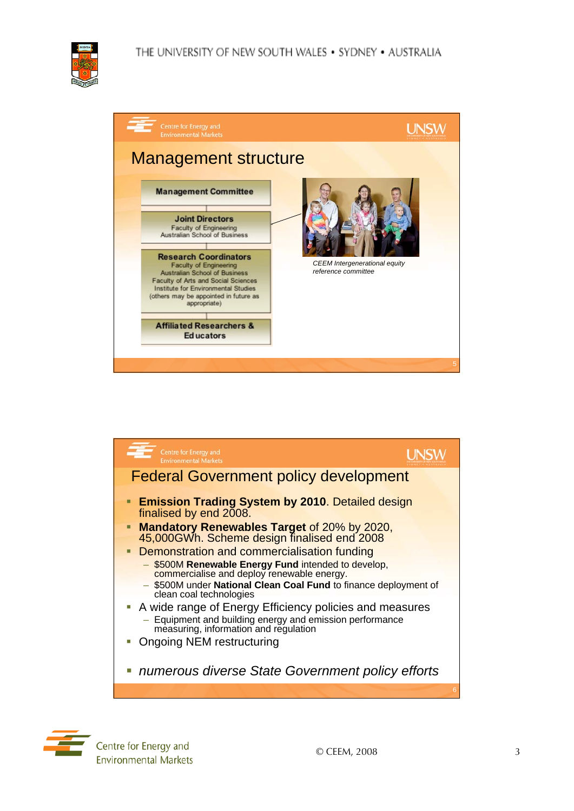





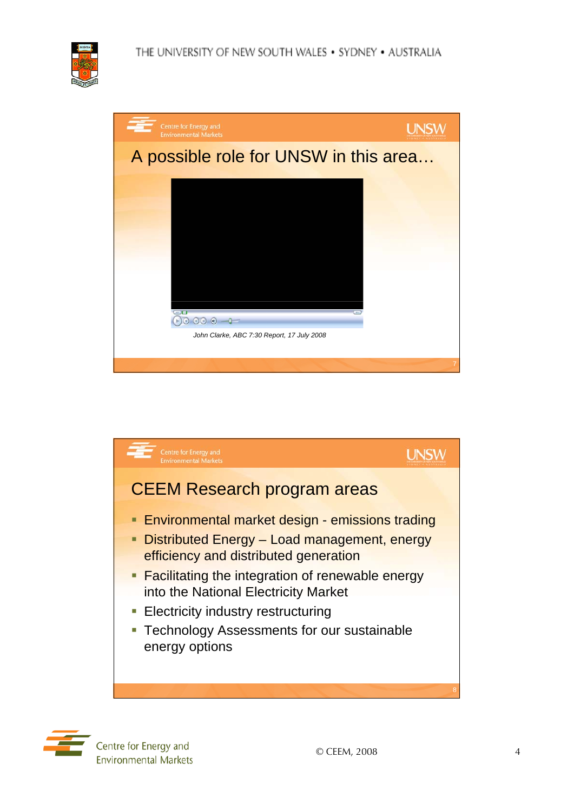

| Centre for Energy and<br><b>Environmental Markets</b> |  |
|-------------------------------------------------------|--|
| A possible role for UNSW in this area                 |  |
|                                                       |  |
|                                                       |  |
|                                                       |  |
|                                                       |  |
|                                                       |  |
| <b>COMPUTE</b><br>$\Theta$ $\Theta$ $\Theta$ $\Phi$   |  |
| John Clarke, ABC 7:30 Report, 17 July 2008            |  |
|                                                       |  |



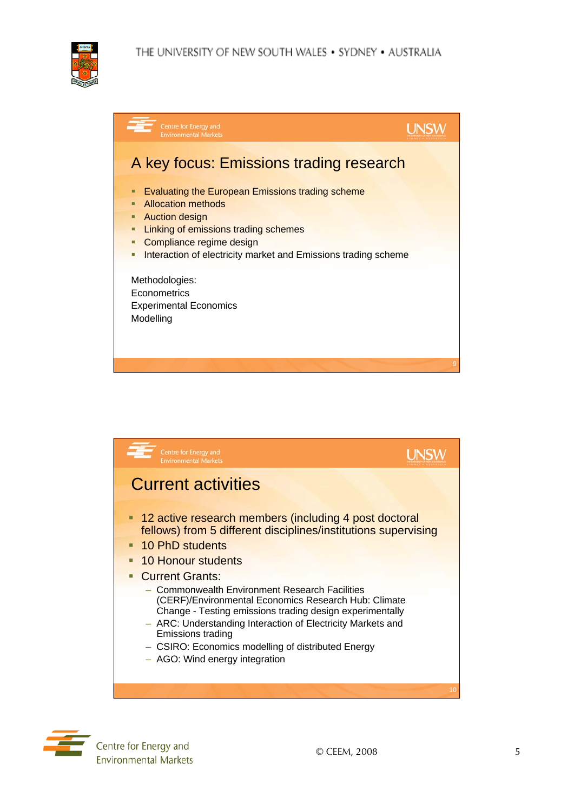